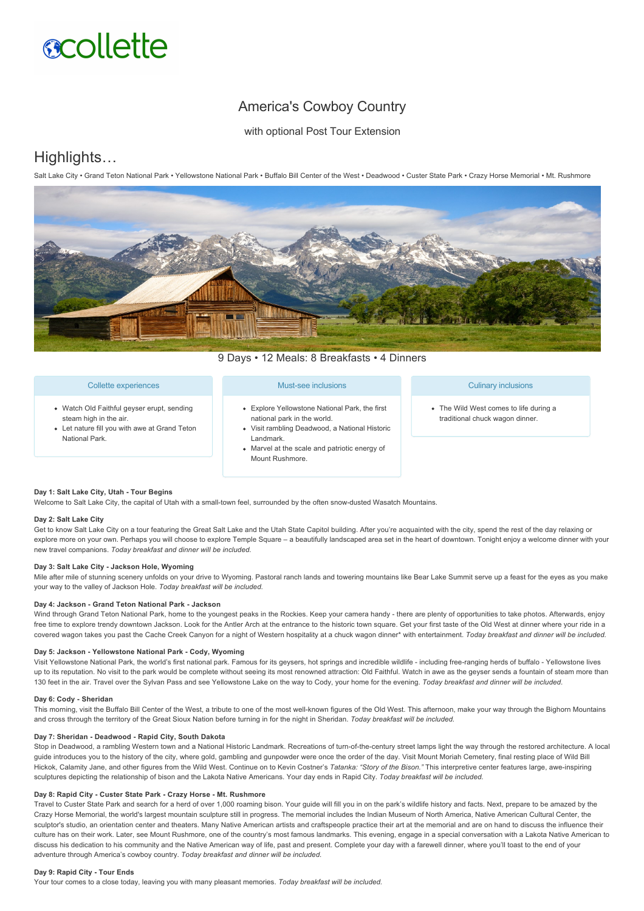# **scollette**

## America's Cowboy Country

with optional Post Tour Extension

## Highlights…

Salt Lake City • Grand Teton National Park • Yellowstone National Park • Buffalo Bill Center of the West • Deadwood • Custer State Park • Crazy Horse Memorial • Mt. Rushmore



9 Days • 12 Meals: 8 Breakfasts • 4 Dinners

#### Collette experiences

- Watch Old Faithful geyser erupt, sending steam high in the air.
- Let nature fill you with awe at Grand Teton National Park.

#### Must-see inclusions

- Explore Yellowstone National Park, the first national park in the world.
- Visit rambling Deadwood, a National Historic Landmark.
- Marvel at the scale and patriotic energy of Mount Rushmore.

#### Culinary inclusions

• The Wild West comes to life during a traditional chuck wagon dinner.

#### **Day 1: Salt Lake City, Utah Tour Begins**

Welcome to Salt Lake City, the capital of Utah with a small-town feel, surrounded by the often snow-dusted Wasatch Mountains.

#### **Day 2: Salt Lake City**

Get to know Salt Lake City on a tour featuring the Great Salt Lake and the Utah State Capitol building. After you're acquainted with the city, spend the rest of the day relaxing or explore more on your own. Perhaps you will choose to explore Temple Square – a beautifully landscaped area set in the heart of downtown. Tonight enjoy a welcome dinner with your new travel companions. *Today breakfast and dinner will be included.*

#### **Day 3: Salt Lake City Jackson Hole, Wyoming**

Mile after mile of stunning scenery unfolds on your drive to Wyoming. Pastoral ranch lands and towering mountains like Bear Lake Summit serve up a feast for the eyes as you make your way to the valley of Jackson Hole. *Today breakfast will be included.*

#### **Day 4: Jackson Grand Teton National Park Jackson**

Wind through Grand Teton National Park, home to the youngest peaks in the Rockies. Keep your camera handy - there are plenty of opportunities to take photos. Afterwards, enjoy free time to explore trendy downtown Jackson. Look for the Antler Arch at the entrance to the historic town square. Get your first taste of the Old West at dinner where your ride in a covered wagon takes you past the Cache Creek Canyon for a night of Western hospitality at a chuck wagon dinner\* with entertainment. *Today breakfast and dinner will be included*.

#### **Day 5: Jackson Yellowstone National Park Cody, Wyoming**

Visit Yellowstone National Park, the world's first national park. Famous for its geysers, hot springs and incredible wildlife - including free-ranging herds of buffalo - Yellowstone lives up to its reputation. No visit to the park would be complete without seeing its most renowned attraction: Old Faithful. Watch in awe as the geyser sends a fountain of steam more than 130 feet in the air. Travel over the Sylvan Pass and see Yellowstone Lake on the way to Cody, your home for the evening. *Today breakfast and dinner will be included.*

#### Day 6: Cody - Sheridan

This morning, visit the Buffalo Bill Center of the West, a tribute to one of the most well-known figures of the Old West. This afternoon, make your way through the Bighorn Mountains and cross through the territory of the Great Sioux Nation before turning in for the night in Sheridan. *Today breakfast will be included.*

#### Day 7: Sheridan - Deadwood - Rapid City, South Dakota

Stop in Deadwood, a rambling Western town and a National Historic Landmark. Recreations of turn-of-the-century street lamps light the way through the restored architecture. A local guide introduces you to the history of the city, where gold, gambling and gunpowder were once the order of the day. Visit Mount Moriah Cemetery, final resting place of Wild Bill Hickok, Calamity Jane, and other figures from the Wild West. Continue on to Kevin Costner's *Tatanka: "Story of the Bison."* This interpretive center features large, aweinspiring sculptures depicting the relationship of bison and the Lakota Native Americans. Your day ends in Rapid City. *Today breakfast will be included.*

#### Day 8: Rapid City - Custer State Park - Crazy Horse - Mt. Rushmore

Travel to Custer State Park and search for a herd of over 1,000 roaming bison. Your guide will fill you in on the park's wildlife history and facts. Next, prepare to be amazed by the Crazy Horse Memorial, the world's largest mountain sculpture still in progress. The memorial includes the Indian Museum of North America, Native American Cultural Center, the sculptor's studio, an orientation center and theaters. Many Native American artists and craftspeople practice their art at the memorial and are on hand to discuss the influence their culture has on their work. Later, see Mount Rushmore, one of the country's most famous landmarks. This evening, engage in a special conversation with a Lakota Native American to discuss his dedication to his community and the Native American way of life, past and present. Complete your day with a farewell dinner, where you'll toast to the end of your adventure through America's cowboy country. *Today breakfast and dinner will be included.*

#### **Day 9: Rapid City Tour Ends**

Your tour comes to a close today, leaving you with many pleasant memories. *Today breakfast will be included.*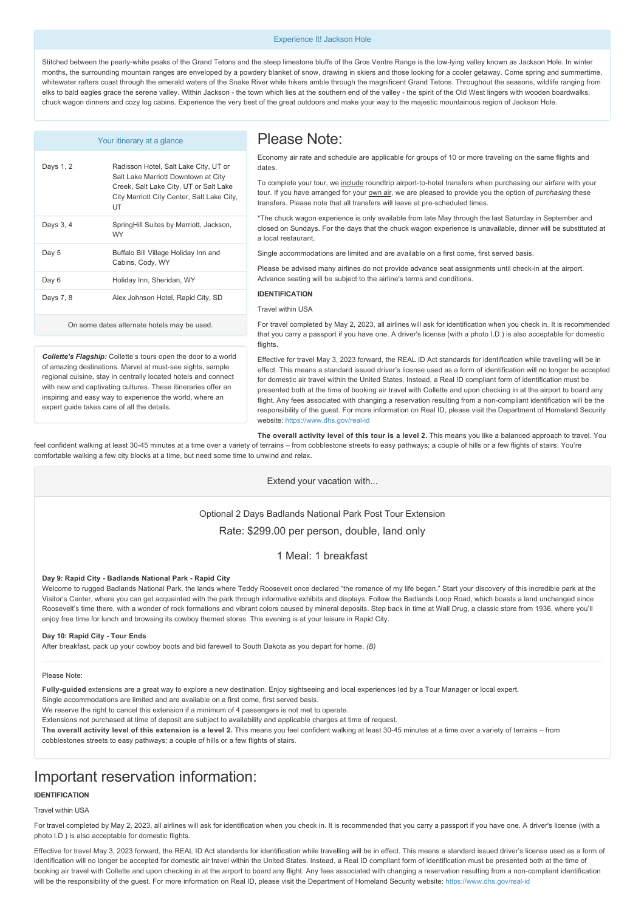#### Experience It! Jackson Hole

Stitched between the pearlywhite peaks of the Grand Tetons and the steep limestone bluffs of the Gros Ventre Range is the lowlying valley known as Jackson Hole. In winter months, the surrounding mountain ranges are enveloped by a powdery blanket of snow, drawing in skiers and those looking for a cooler getaway. Come spring and summertime, whitewater rafters coast through the emerald waters of the Snake River while hikers amble through the magnificent Grand Tetons. Throughout the seasons, wildlife ranging from elks to bald eagles grace the serene valley. Within Jackson - the town which lies at the southern end of the valley - the spirit of the Old West lingers with wooden boardwalks. chuck wagon dinners and cozy log cabins. Experience the very best of the great outdoors and make your way to the majestic mountainous region of Jackson Hole.

| Your itinerary at a glance                  |                                                                                                                                                                            |
|---------------------------------------------|----------------------------------------------------------------------------------------------------------------------------------------------------------------------------|
| Days 1, 2                                   | Radisson Hotel, Salt Lake City, UT or<br>Salt Lake Marriott Downtown at City<br>Creek, Salt Lake City, UT or Salt Lake<br>City Marriott City Center, Salt Lake City,<br>UT |
| Days 3, 4                                   | SpringHill Suites by Marriott, Jackson,<br><b>WY</b>                                                                                                                       |
| Day 5                                       | Buffalo Bill Village Holiday Inn and<br>Cabins, Cody, WY                                                                                                                   |
| Day 6                                       | Holiday Inn, Sheridan, WY                                                                                                                                                  |
| Days 7, 8                                   | Alex Johnson Hotel, Rapid City, SD                                                                                                                                         |
| On some dates alternate hotels may be used. |                                                                                                                                                                            |

### Please Note:

Economy air rate and schedule are applicable for groups of 10 or more traveling on the same flights and dates.

To complete your tour, we include roundtrip airport-to-hotel transfers when purchasing our airfare with your tour. If you have arranged for your **own air**, we are pleased to provide you the option of *purchasing* these transfers. Please note that all transfers will leave at pre-scheduled times.

\*The chuck wagon experience is only available from late May through the last Saturday in September and closed on Sundays. For the days that the chuck wagon experience is unavailable, dinner will be substituted at a local restaurant.

Single accommodations are limited and are available on a first come, first served basis.

Please be advised many airlines do not provide advance seat assignments until check-in at the airport. Advance seating will be subject to the airline's terms and conditions.

#### **IDENTIFICATION**

#### Travel within USA

For travel completed by May 2, 2023, all airlines will ask for identification when you check in. It is recommended that you carry a passport if you have one. A driver's license (with a photo I.D.) is also acceptable for domestic flights.

*Collette's Flagship:* Collette's tours open the door to a world of amazing destinations. Marvel at must-see sights, sample regional cuisine, stay in centrally located hotels and connect with new and captivating cultures. These itineraries offer an inspiring and easy way to experience the world, where an expert guide takes care of all the details.

Effective for travel May 3, 2023 forward, the REAL ID Act standards for identification while travelling will be in effect. This means a standard issued driver's license used as a form of identification will no longer be accepted for domestic air travel within the United States. Instead, a Real ID compliant form of identification must be presented both at the time of booking air travel with Collette and upon checking in at the airport to board any flight. Any fees associated with changing a reservation resulting from a non-compliant identification will be the responsibility of the guest. For more information on Real ID, please visit the Department of Homeland Security website: https://www.dhs.gov/real-id

**The overall activity level of this tour is a level 2.** This means you like a balanced approach to travel. You

feel confident walking at least 3045 minutes at a time over a variety of terrains – from cobblestone streets to easy pathways; a couple of hills or a few flights of stairs. You're comfortable walking a few city blocks at a time, but need some time to unwind and relax.

#### Extend your vacation with...

Optional 2 Days Badlands National Park Post Tour Extension Rate: \$299.00 per person, double, land only

#### 1 Meal: 1 breakfast

#### **Day 9: Rapid City Badlands National Park Rapid City**

Welcome to rugged Badlands National Park, the lands where Teddy Roosevelt once declared "the romance of my life began." Start your discovery of this incredible park at the Visitor's Center, where you can get acquainted with the park through informative exhibits and displays. Follow the Badlands Loop Road, which boasts a land unchanged since Roosevelt's time there, with a wonder of rock formations and vibrant colors caused by mineral deposits. Step back in time at Wall Drug, a classic store from 1936, where you'll enjoy free time for lunch and browsing its cowboy themed stores. This evening is at your leisure in Rapid City.

#### **Day 10: Rapid City Tour Ends**

After breakfast, pack up your cowboy boots and bid farewell to South Dakota as you depart for home. *(B)*

#### Please Note:

Fully-guided extensions are a great way to explore a new destination. Enjoy sightseeing and local experiences led by a Tour Manager or local expert.

Single accommodations are limited and are available on a first come, first served basis.

We reserve the right to cancel this extension if a minimum of 4 passengers is not met to operate

Extensions not purchased at time of deposit are subject to availability and applicable charges at time of request.

The overall activity level of this extension is a level 2. This means you feel confident walking at least 30-45 minutes at a time over a variety of terrains – from cobblestones streets to easy pathways; a couple of hills or a few flights of stairs.

## Important reservation information:

#### **IDENTIFICATION**

#### Travel within USA

For travel completed by May 2, 2023, all airlines will ask for identification when you check in. It is recommended that you carry a passport if you have one. A driver's license (with a photo I.D.) is also acceptable for domestic flights.

Effective for travel May 3, 2023 forward, the REAL ID Act standards for identification while travelling will be in effect. This means a standard issued driver's license used as a form of identification will no longer be accepted for domestic air travel within the United States. Instead, a Real ID compliant form of identification must be presented both at the time of booking air travel with Collette and upon checking in at the airport to board any flight. Any fees associated with changing a reservation resulting from a non-compliant identification will be the responsibility of the guest. For more information on Real ID, please visit the Department of Homeland Security website: https://www.dhs.gov/real-id